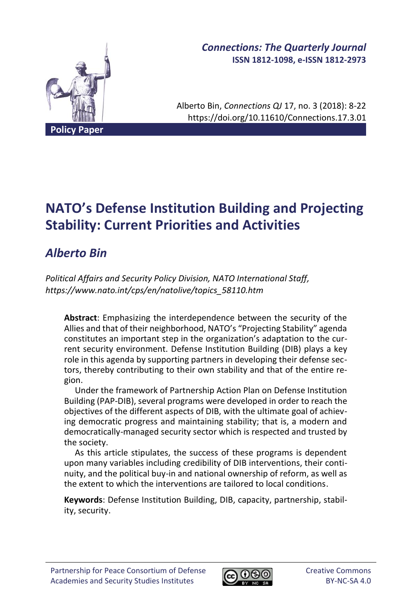

# *Connections: The Quarterly Journal* **ISSN 1812-1098, e-ISSN 1812-2973**

Alberto Bin, *Connections QJ* 17, no. 3 (2018): 8-22 https://doi.org/10.11610/Connections.17.3.01

# **NATO's Defense Institution Building and Projecting Stability: Current Priorities and Activities**

# *Alberto Bin*

*Political Affairs and Security Policy Division, NATO International Staff, https://www.nato.int/cps/en/natolive/topics\_58110.htm*

**Abstract**: Emphasizing the interdependence between the security of the Allies and that of their neighborhood, NATO's "Projecting Stability" agenda constitutes an important step in the organization's adaptation to the current security environment. Defense Institution Building (DIB) plays a key role in this agenda by supporting partners in developing their defense sectors, thereby contributing to their own stability and that of the entire region.

Under the framework of Partnership Action Plan on Defense Institution Building (PAP-DIB), several programs were developed in order to reach the objectives of the different aspects of DIB, with the ultimate goal of achieving democratic progress and maintaining stability; that is, a modern and democratically-managed security sector which is respected and trusted by the society.

As this article stipulates, the success of these programs is dependent upon many variables including credibility of DIB interventions, their continuity, and the political buy-in and national ownership of reform, as well as the extent to which the interventions are tailored to local conditions.

**Keywords**: Defense Institution Building, DIB, capacity, partnership, stability, security.

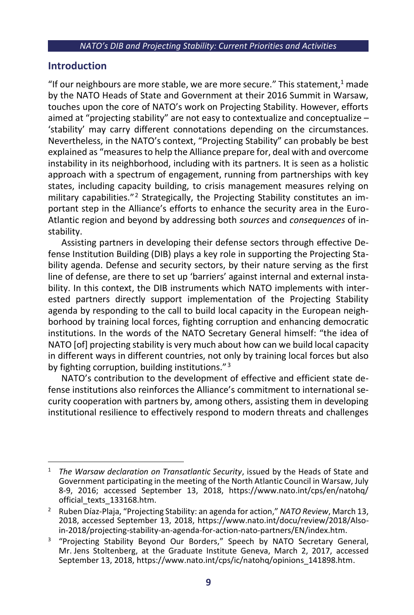## **Introduction**

"If our neighbours are more stable, we are more secure." This statement, $1$  made by the NATO Heads of State and Government at their 2016 Summit in Warsaw, touches upon the core of NATO's work on Projecting Stability. However, efforts aimed at "projecting stability" are not easy to contextualize and conceptualize -'stability' may carry different connotations depending on the circumstances. Nevertheless, in the NATO's context, "Projecting Stability" can probably be best explained as "measures to help the Alliance prepare for, deal with and overcome instability in its neighborhood, including with its partners. It is seen as a holistic approach with a spectrum of engagement, running from partnerships with key states, including capacity building, to crisis management measures relying on military capabilities."<sup>2</sup> Strategically, the Projecting Stability constitutes an important step in the Alliance's efforts to enhance the security area in the Euro-Atlantic region and beyond by addressing both *sources* and *consequences* of instability.

Assisting partners in developing their defense sectors through effective Defense Institution Building (DIB) plays a key role in supporting the Projecting Stability agenda. Defense and security sectors, by their nature serving as the first line of defense, are there to set up 'barriers' against internal and external instability. In this context, the DIB instruments which NATO implements with interested partners directly support implementation of the Projecting Stability agenda by responding to the call to build local capacity in the European neighborhood by training local forces, fighting corruption and enhancing democratic institutions. In the words of the NATO Secretary General himself: "the idea of NATO [of] projecting stability is very much about how can we build local capacity in different ways in different countries, not only by training local forces but also by fighting corruption, building institutions."<sup>3</sup>

NATO's contribution to the development of effective and efficient state defense institutions also reinforces the Alliance's commitment to international security cooperation with partners by, among others, assisting them in developing institutional resilience to effectively respond to modern threats and challenges

<sup>1</sup> *The Warsaw declaration on Transatlantic Security*, issued by the Heads of State and Government participating in the meeting of the North Atlantic Council in Warsaw, July 8-9, 2016; accessed September 13, 2018, https://www.nato.int/cps/en/natohq/ official\_texts\_133168.htm.

<sup>2</sup> Ruben Díaz-Plaja, "Projecting Stability: an agenda for action," *NATO Review*, March 13, 2018, accessed September 13, 2018, https://www.nato.int/docu/review/2018/Alsoin-2018/projecting-stability-an-agenda-for-action-nato-partners/EN/index.htm.

<sup>&</sup>lt;sup>3</sup> "Projecting Stability Beyond Our Borders," Speech by NATO Secretary General, Mr. Jens Stoltenberg, at the Graduate Institute Geneva, March 2, 2017, accessed September 13, 2018, https://www.nato.int/cps/ic/natohq/opinions\_141898.htm.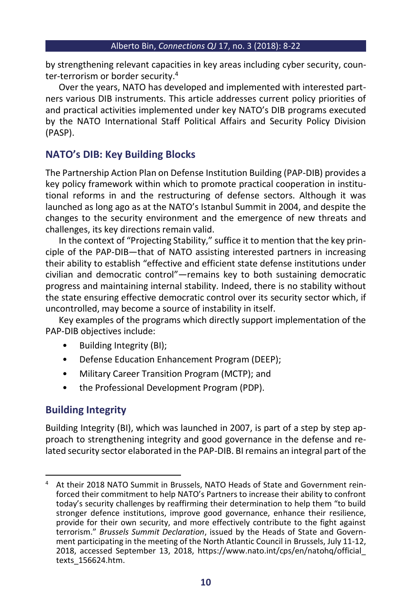by strengthening relevant capacities in key areas including cyber security, counter-terrorism or border security.<sup>4</sup>

Over the years, NATO has developed and implemented with interested partners various DIB instruments. This article addresses current policy priorities of and practical activities implemented under key NATO's DIB programs executed by the NATO International Staff Political Affairs and Security Policy Division (PASP).

# **NATO's DIB: Key Building Blocks**

The Partnership Action Plan on Defense Institution Building (PAP-DIB) provides a key policy framework within which to promote practical cooperation in institutional reforms in and the restructuring of defense sectors. Although it was launched as long ago as at the NATO's Istanbul Summit in 2004, and despite the changes to the security environment and the emergence of new threats and challenges, its key directions remain valid.

In the context of "Projecting Stability," suffice it to mention that the key principle of the PAP-DIB—that of NATO assisting interested partners in increasing their ability to establish "effective and efficient state defense institutions under civilian and democratic control"—remains key to both sustaining democratic progress and maintaining internal stability. Indeed, there is no stability without the state ensuring effective democratic control over its security sector which, if uncontrolled, may become a source of instability in itself.

Key examples of the programs which directly support implementation of the PAP-DIB objectives include:

- Building Integrity (BI);
- Defense Education Enhancement Program (DEEP);
- Military Career Transition Program (MCTP); and
- the Professional Development Program (PDP).

# **Building Integrity**

Building Integrity (BI), which was launched in 2007, is part of a step by step approach to strengthening integrity and good governance in the defense and related security sector elaborated in the PAP-DIB. BI remains an integral part of the

<sup>&</sup>lt;sup>4</sup> At their 2018 NATO Summit in Brussels, NATO Heads of State and Government reinforced their commitment to help NATO's Partners to increase their ability to confront today's security challenges by reaffirming their determination to help them "to build stronger defence institutions, improve good governance, enhance their resilience, provide for their own security, and more effectively contribute to the fight against terrorism." *Brussels Summit Declaration*, issued by the Heads of State and Government participating in the meeting of the North Atlantic Council in Brussels, July 11-12, 2018, accessed September 13, 2018, https://www.nato.int/cps/en/natohq/official\_ texts\_156624.htm.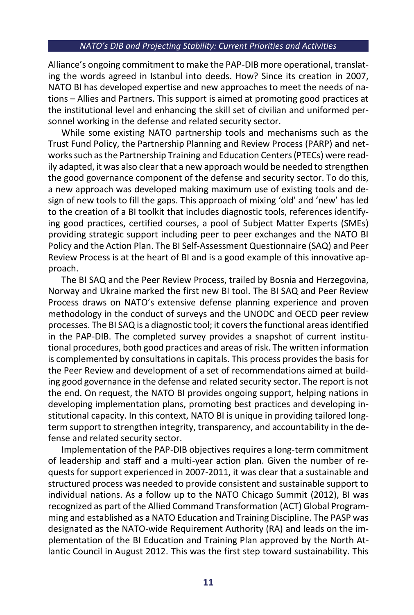Alliance's ongoing commitment to make the PAP-DIB more operational, translating the words agreed in Istanbul into deeds. How? Since its creation in 2007, NATO BI has developed expertise and new approaches to meet the needs of nations – Allies and Partners. This support is aimed at promoting good practices at the institutional level and enhancing the skill set of civilian and uniformed personnel working in the defense and related security sector.

While some existing NATO partnership tools and mechanisms such as the Trust Fund Policy, the Partnership Planning and Review Process (PARP) and networks such as the Partnership Training and Education Centers (PTECs) were readily adapted, it was also clear that a new approach would be needed to strengthen the good governance component of the defense and security sector. To do this, a new approach was developed making maximum use of existing tools and design of new tools to fill the gaps. This approach of mixing 'old' and 'new' has led to the creation of a BI toolkit that includes diagnostic tools, references identifying good practices, certified courses, a pool of Subject Matter Experts (SMEs) providing strategic support including peer to peer exchanges and the NATO BI Policy and the Action Plan. The BI Self-Assessment Questionnaire (SAQ) and Peer Review Process is at the heart of BI and is a good example of this innovative approach.

The BI SAQ and the Peer Review Process, trailed by Bosnia and Herzegovina, Norway and Ukraine marked the first new BI tool. The BI SAQ and Peer Review Process draws on NATO's extensive defense planning experience and proven methodology in the conduct of surveys and the UNODC and OECD peer review processes. The BI SAQ is a diagnostic tool; it covers the functional areas identified in the PAP-DIB. The completed survey provides a snapshot of current institutional procedures, both good practices and areas of risk. The written information is complemented by consultations in capitals. This process provides the basis for the Peer Review and development of a set of recommendations aimed at building good governance in the defense and related security sector. The report is not the end. On request, the NATO BI provides ongoing support, helping nations in developing implementation plans, promoting best practices and developing institutional capacity. In this context, NATO BI is unique in providing tailored longterm support to strengthen integrity, transparency, and accountability in the defense and related security sector.

Implementation of the PAP-DIB objectives requires a long-term commitment of leadership and staff and a multi-year action plan. Given the number of requests for support experienced in 2007-2011, it was clear that a sustainable and structured process was needed to provide consistent and sustainable support to individual nations. As a follow up to the NATO Chicago Summit (2012), BI was recognized as part of the Allied Command Transformation (ACT) Global Programming and established as a NATO Education and Training Discipline. The PASP was designated as the NATO-wide Requirement Authority (RA) and leads on the implementation of the BI Education and Training Plan approved by the North Atlantic Council in August 2012. This was the first step toward sustainability. This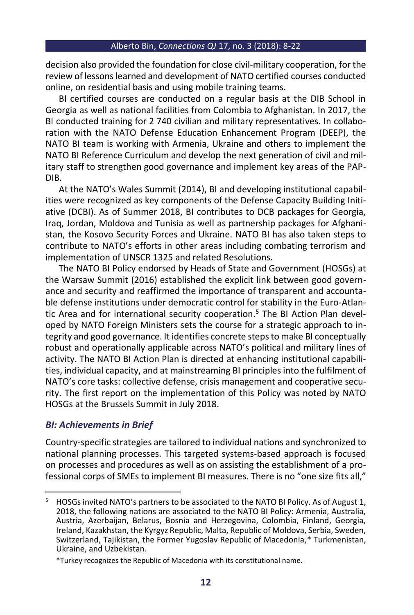decision also provided the foundation for close civil-military cooperation, for the review of lessons learned and development of NATO certified courses conducted online, on residential basis and using mobile training teams.

BI certified courses are conducted on a regular basis at the DIB School in Georgia as well as national facilities from Colombia to Afghanistan. In 2017, the BI conducted training for 2 740 civilian and military representatives. In collaboration with the NATO Defense Education Enhancement Program (DEEP), the NATO BI team is working with Armenia, Ukraine and others to implement the NATO BI Reference Curriculum and develop the next generation of civil and military staff to strengthen good governance and implement key areas of the PAP-DIB.

At the NATO's Wales Summit (2014), BI and developing institutional capabilities were recognized as key components of the Defense Capacity Building Initiative (DCBI). As of Summer 2018, BI contributes to DCB packages for Georgia, Iraq, Jordan, Moldova and Tunisia as well as partnership packages for Afghanistan, the Kosovo Security Forces and Ukraine. NATO BI has also taken steps to contribute to NATO's efforts in other areas including combating terrorism and implementation of UNSCR 1325 and related Resolutions.

The NATO BI Policy endorsed by Heads of State and Government (HOSGs) at the Warsaw Summit (2016) established the explicit link between good governance and security and reaffirmed the importance of transparent and accountable defense institutions under democratic control for stability in the Euro-Atlantic Area and for international security cooperation. <sup>5</sup> The BI Action Plan developed by NATO Foreign Ministers sets the course for a strategic approach to integrity and good governance. It identifies concrete steps to make BI conceptually robust and operationally applicable across NATO's political and military lines of activity. The NATO BI Action Plan is directed at enhancing institutional capabilities, individual capacity, and at mainstreaming BI principles into the fulfilment of NATO's core tasks: collective defense, crisis management and cooperative security. The first report on the implementation of this Policy was noted by NATO HOSGs at the Brussels Summit in July 2018.

## *BI: Achievements in Brief*

Country-specific strategies are tailored to individual nations and synchronized to national planning processes. This targeted systems-based approach is focused on processes and procedures as well as on assisting the establishment of a professional corps of SMEs to implement BI measures. There is no "one size fits all,"

<sup>&</sup>lt;sup>5</sup> HOSGs invited NATO's partners to be associated to the NATO BI Policy. As of August 1, 2018, the following nations are associated to the NATO BI Policy: Armenia, Australia, Austria, Azerbaijan, Belarus, Bosnia and Herzegovina, Colombia, Finland, Georgia, Ireland, Kazakhstan, the Kyrgyz Republic, Malta, Republic of Moldova, Serbia, Sweden, Switzerland, Tajikistan, the Former Yugoslav Republic of Macedonia,\* Turkmenistan, Ukraine, and Uzbekistan.

<sup>\*</sup>Turkey recognizes the Republic of Macedonia with its constitutional name.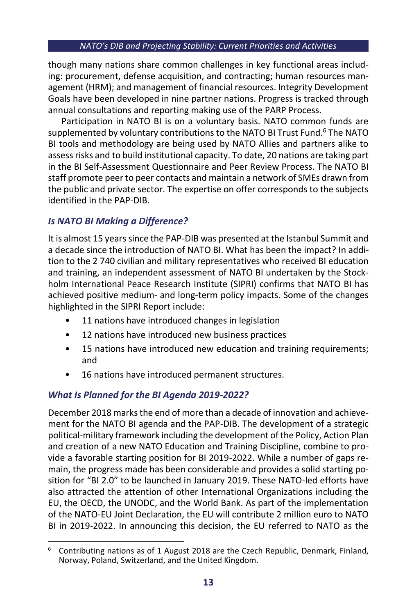though many nations share common challenges in key functional areas including: procurement, defense acquisition, and contracting; human resources management (HRM); and management of financial resources. Integrity Development Goals have been developed in nine partner nations. Progress is tracked through annual consultations and reporting making use of the PARP Process.

Participation in NATO BI is on a voluntary basis. NATO common funds are supplemented by voluntary contributions to the NATO BI Trust Fund. <sup>6</sup> The NATO BI tools and methodology are being used by NATO Allies and partners alike to assess risks and to build institutional capacity. To date, 20 nations are taking part in the BI Self-Assessment Questionnaire and Peer Review Process. The NATO BI staff promote peer to peer contacts and maintain a network of SMEs drawn from the public and private sector. The expertise on offer corresponds to the subjects identified in the PAP-DIB.

## *Is NATO BI Making a Difference?*

It is almost 15 years since the PAP-DIB was presented at the Istanbul Summit and a decade since the introduction of NATO BI. What has been the impact? In addition to the 2 740 civilian and military representatives who received BI education and training, an independent assessment of NATO BI undertaken by the Stockholm International Peace Research Institute (SIPRI) confirms that NATO BI has achieved positive medium- and long-term policy impacts. Some of the changes highlighted in the SIPRI Report include:

- 11 nations have introduced changes in legislation
- 12 nations have introduced new business practices
- 15 nations have introduced new education and training requirements; and
- 16 nations have introduced permanent structures.

# *What Is Planned for the BI Agenda 2019-2022?*

December 2018 marks the end of more than a decade of innovation and achievement for the NATO BI agenda and the PAP-DIB. The development of a strategic political-military framework including the development of the Policy, Action Plan and creation of a new NATO Education and Training Discipline, combine to provide a favorable starting position for BI 2019-2022. While a number of gaps remain, the progress made has been considerable and provides a solid starting position for "BI 2.0" to be launched in January 2019. These NATO-led efforts have also attracted the attention of other International Organizations including the EU, the OECD, the UNODC, and the World Bank. As part of the implementation of the NATO-EU Joint Declaration, the EU will contribute 2 million euro to NATO BI in 2019-2022. In announcing this decision, the EU referred to NATO as the

<sup>6</sup> Contributing nations as of 1 August 2018 are the Czech Republic, Denmark, Finland, Norway, Poland, Switzerland, and the United Kingdom.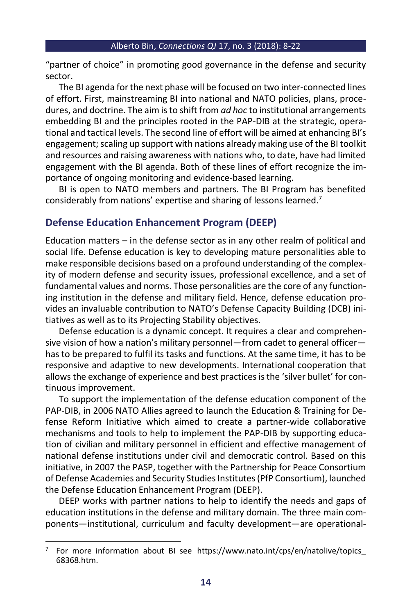"partner of choice" in promoting good governance in the defense and security sector.

The BI agenda for the next phase will be focused on two inter-connected lines of effort. First, mainstreaming BI into national and NATO policies, plans, procedures, and doctrine. The aim is to shift from *ad hoc* to institutional arrangements embedding BI and the principles rooted in the PAP-DIB at the strategic, operational and tactical levels. The second line of effort will be aimed at enhancing BI's engagement; scaling up support with nations already making use of the BI toolkit and resources and raising awareness with nations who, to date, have had limited engagement with the BI agenda. Both of these lines of effort recognize the importance of ongoing monitoring and evidence-based learning.

BI is open to NATO members and partners. The BI Program has benefited considerably from nations' expertise and sharing of lessons learned.<sup>7</sup>

# **Defense Education Enhancement Program (DEEP)**

Education matters – in the defense sector as in any other realm of political and social life. Defense education is key to developing mature personalities able to make responsible decisions based on a profound understanding of the complexity of modern defense and security issues, professional excellence, and a set of fundamental values and norms. Those personalities are the core of any functioning institution in the defense and military field. Hence, defense education provides an invaluable contribution to NATO's Defense Capacity Building (DCB) initiatives as well as to its Projecting Stability objectives.

Defense education is a dynamic concept. It requires a clear and comprehensive vision of how a nation's military personnel—from cadet to general officer has to be prepared to fulfil its tasks and functions. At the same time, it has to be responsive and adaptive to new developments. International cooperation that allows the exchange of experience and best practices is the 'silver bullet' for continuous improvement.

To support the implementation of the defense education component of the PAP-DIB, in 2006 NATO Allies agreed to launch the Education & Training for Defense Reform Initiative which aimed to create a partner-wide collaborative mechanisms and tools to help to implement the PAP-DIB by supporting education of civilian and military personnel in efficient and effective management of national defense institutions under civil and democratic control. Based on this initiative, in 2007 the PASP, together with the Partnership for Peace Consortium of Defense Academies and Security Studies Institutes (PfP Consortium), launched the Defense Education Enhancement Program (DEEP).

DEEP works with partner nations to help to identify the needs and gaps of education institutions in the defense and military domain. The three main components—institutional, curriculum and faculty development—are operational-

<sup>&</sup>lt;sup>7</sup> For more information about BI see https://www.nato.int/cps/en/natolive/topics 68368.htm.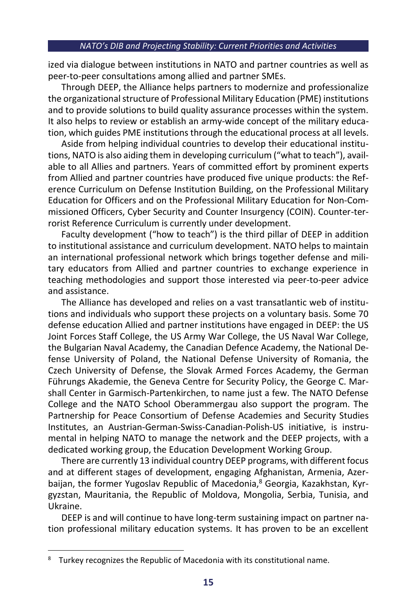ized via dialogue between institutions in NATO and partner countries as well as peer-to-peer consultations among allied and partner SMEs.

Through DEEP, the Alliance helps partners to modernize and professionalize the organizational structure of Professional Military Education (PME) institutions and to provide solutions to build quality assurance processes within the system. It also helps to review or establish an army-wide concept of the military education, which guides PME institutions through the educational process at all levels.

Aside from helping individual countries to develop their educational institutions, NATO is also aiding them in developing curriculum ("what to teach"), available to all Allies and partners. Years of committed effort by prominent experts from Allied and partner countries have produced five unique products: the Reference Curriculum on Defense Institution Building, on the Professional Military Education for Officers and on the Professional Military Education for Non-Commissioned Officers, Cyber Security and Counter Insurgency (COIN). Counter-terrorist Reference Curriculum is currently under development.

Faculty development ("how to teach") is the third pillar of DEEP in addition to institutional assistance and curriculum development. NATO helps to maintain an international professional network which brings together defense and military educators from Allied and partner countries to exchange experience in teaching methodologies and support those interested via peer-to-peer advice and assistance.

The Alliance has developed and relies on a vast transatlantic web of institutions and individuals who support these projects on a voluntary basis. Some 70 defense education Allied and partner institutions have engaged in DEEP: the US Joint Forces Staff College, the US Army War College, the US Naval War College, the Bulgarian Naval Academy, the Canadian Defence Academy, the National Defense University of Poland, the National Defense University of Romania, the Czech University of Defense, the Slovak Armed Forces Academy, the German Führungs Akademie, the Geneva Centre for Security Policy, the George C. Marshall Center in Garmisch-Partenkirchen, to name just a few. The NATO Defense College and the NATO School Oberammergau also support the program. The Partnership for Peace Consortium of Defense Academies and Security Studies Institutes, an Austrian-German-Swiss-Canadian-Polish-US initiative, is instrumental in helping NATO to manage the network and the DEEP projects, with a dedicated working group, the Education Development Working Group.

There are currently 13 individual country DEEP programs, with different focus and at different stages of development, engaging Afghanistan, Armenia, Azerbaijan, the former Yugoslav Republic of Macedonia, <sup>8</sup> Georgia, Kazakhstan, Kyrgyzstan, Mauritania, the Republic of Moldova, Mongolia, Serbia, Tunisia, and Ukraine.

DEEP is and will continue to have long-term sustaining impact on partner nation professional military education systems. It has proven to be an excellent

Turkey recognizes the Republic of Macedonia with its constitutional name.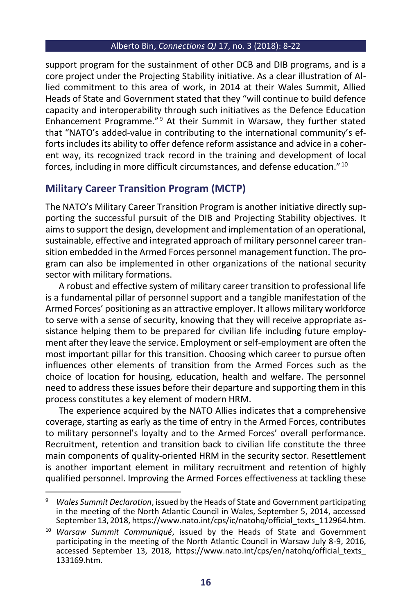support program for the sustainment of other DCB and DIB programs, and is a core project under the Projecting Stability initiative. As a clear illustration of Allied commitment to this area of work, in 2014 at their Wales Summit, Allied Heads of State and Government stated that they "will continue to build defence capacity and interoperability through such initiatives as the Defence Education Enhancement Programme."<sup>9</sup> At their Summit in Warsaw, they further stated that "NATO's added-value in contributing to the international community's efforts includes its ability to offer defence reform assistance and advice in a coherent way, its recognized track record in the training and development of local forces, including in more difficult circumstances, and defense education." <sup>10</sup>

## **Military Career Transition Program (MCTP)**

The NATO's Military Career Transition Program is another initiative directly supporting the successful pursuit of the DIB and Projecting Stability objectives. It aims to support the design, development and implementation of an operational, sustainable, effective and integrated approach of military personnel career transition embedded in the Armed Forces personnel management function. The program can also be implemented in other organizations of the national security sector with military formations.

A robust and effective system of military career transition to professional life is a fundamental pillar of personnel support and a tangible manifestation of the Armed Forces' positioning as an attractive employer. It allows military workforce to serve with a sense of security, knowing that they will receive appropriate assistance helping them to be prepared for civilian life including future employment after they leave the service. Employment or self-employment are often the most important pillar for this transition. Choosing which career to pursue often influences other elements of transition from the Armed Forces such as the choice of location for housing, education, health and welfare. The personnel need to address these issues before their departure and supporting them in this process constitutes a key element of modern HRM.

The experience acquired by the NATO Allies indicates that a comprehensive coverage, starting as early as the time of entry in the Armed Forces, contributes to military personnel's loyalty and to the Armed Forces' overall performance. Recruitment, retention and transition back to civilian life constitute the three main components of quality-oriented HRM in the security sector. Resettlement is another important element in military recruitment and retention of highly qualified personnel. Improving the Armed Forces effectiveness at tackling these

<sup>9</sup> *Wales Summit Declaration*, issued by the Heads of State and Government participating in the meeting of the North Atlantic Council in Wales, September 5, 2014, accessed September 13, 2018, https://www.nato.int/cps/ic/natohq/official\_texts\_112964.htm.

<sup>10</sup> *Warsaw Summit Communiqué*, issued by the Heads of State and Government participating in the meeting of the North Atlantic Council in Warsaw July 8-9, 2016, accessed September 13, 2018, https://www.nato.int/cps/en/natohq/official\_texts\_ 133169.htm.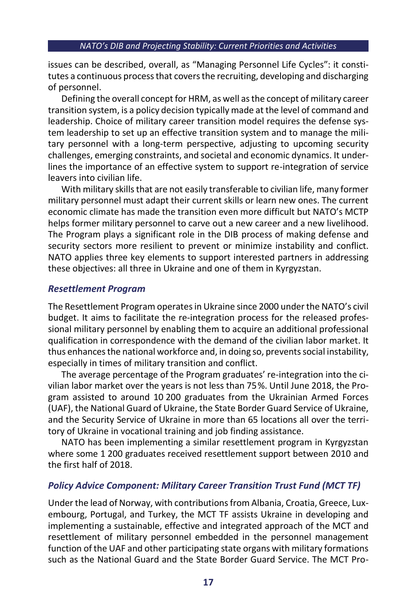issues can be described, overall, as "Managing Personnel Life Cycles": it constitutes a continuous process that covers the recruiting, developing and discharging of personnel.

Defining the overall concept for HRM, as well as the concept of military career transition system, is a policy decision typically made at the level of command and leadership. Choice of military career transition model requires the defense system leadership to set up an effective transition system and to manage the military personnel with a long-term perspective, adjusting to upcoming security challenges, emerging constraints, and societal and economic dynamics. It underlines the importance of an effective system to support re-integration of service leavers into civilian life.

With military skills that are not easily transferable to civilian life, many former military personnel must adapt their current skills or learn new ones. The current economic climate has made the transition even more difficult but NATO's MCTP helps former military personnel to carve out a new career and a new livelihood. The Program plays a significant role in the DIB process of making defense and security sectors more resilient to prevent or minimize instability and conflict. NATO applies three key elements to support interested partners in addressing these objectives: all three in Ukraine and one of them in Kyrgyzstan.

### *Resettlement Program*

The Resettlement Program operates in Ukraine since 2000 under the NATO's civil budget. It aims to facilitate the re-integration process for the released professional military personnel by enabling them to acquire an additional professional qualification in correspondence with the demand of the civilian labor market. It thus enhances the national workforce and, in doing so, prevents social instability, especially in times of military transition and conflict.

The average percentage of the Program graduates' re-integration into the civilian labor market over the years is not less than 75%. Until June 2018, the Program assisted to around 10 200 graduates from the Ukrainian Armed Forces (UAF), the National Guard of Ukraine, the State Border Guard Service of Ukraine, and the Security Service of Ukraine in more than 65 locations all over the territory of Ukraine in vocational training and job finding assistance.

NATO has been implementing a similar resettlement program in Kyrgyzstan where some 1 200 graduates received resettlement support between 2010 and the first half of 2018.

## *Policy Advice Component: Military Career Transition Trust Fund (MCT TF)*

Under the lead of Norway, with contributions from Albania, Croatia, Greece, Luxembourg, Portugal, and Turkey, the MCT TF assists Ukraine in developing and implementing a sustainable, effective and integrated approach of the MCT and resettlement of military personnel embedded in the personnel management function of the UAF and other participating state organs with military formations such as the National Guard and the State Border Guard Service. The MCT Pro-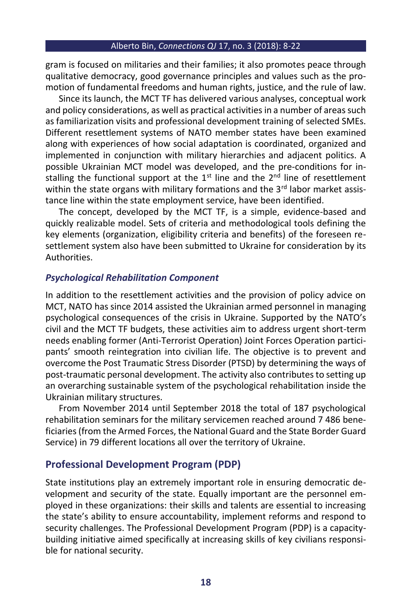gram is focused on militaries and their families; it also promotes peace through qualitative democracy, good governance principles and values such as the promotion of fundamental freedoms and human rights, justice, and the rule of law.

Since its launch, the MCT TF has delivered various analyses, conceptual work and policy considerations, as well as practical activities in a number of areas such as familiarization visits and professional development training of selected SMEs. Different resettlement systems of NATO member states have been examined along with experiences of how social adaptation is coordinated, organized and implemented in conjunction with military hierarchies and adjacent politics. A possible Ukrainian MCT model was developed, and the pre-conditions for installing the functional support at the  $1<sup>st</sup>$  line and the  $2<sup>nd</sup>$  line of resettlement within the state organs with military formations and the  $3<sup>rd</sup>$  labor market assistance line within the state employment service, have been identified.

The concept, developed by the MCT TF, is a simple, evidence-based and quickly realizable model. Sets of criteria and methodological tools defining the key elements (organization, eligibility criteria and benefits) of the foreseen resettlement system also have been submitted to Ukraine for consideration by its **Authorities.** 

### *Psychological Rehabilitation Component*

In addition to the resettlement activities and the provision of policy advice on MCT, NATO has since 2014 assisted the Ukrainian armed personnel in managing psychological consequences of the crisis in Ukraine. Supported by the NATO's civil and the MCT TF budgets, these activities aim to address urgent short-term needs enabling former (Anti-Terrorist Operation) Joint Forces Operation participants' smooth reintegration into civilian life. The objective is to prevent and overcome the Post Traumatic Stress Disorder (PTSD) by determining the ways of post-traumatic personal development. The activity also contributes to setting up an overarching sustainable system of the psychological rehabilitation inside the Ukrainian military structures.

From November 2014 until September 2018 the total of 187 psychological rehabilitation seminars for the military servicemen reached around 7 486 beneficiaries (from the Armed Forces, the National Guard and the State Border Guard Service) in 79 different locations all over the territory of Ukraine.

## **Professional Development Program (PDP)**

State institutions play an extremely important role in ensuring democratic development and security of the state. Equally important are the personnel employed in these organizations: their skills and talents are essential to increasing the state's ability to ensure accountability, implement reforms and respond to security challenges. The Professional Development Program (PDP) is a capacitybuilding initiative aimed specifically at increasing skills of key civilians responsible for national security.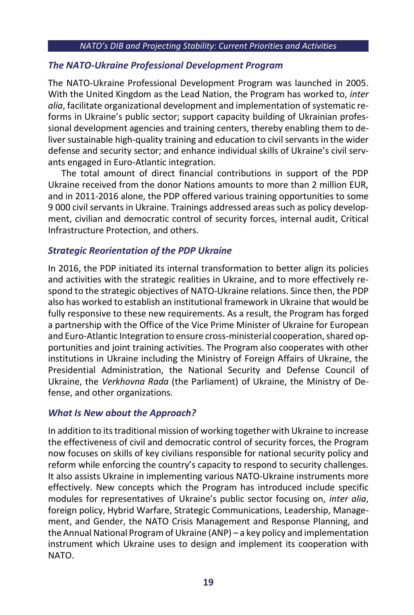## *The NATO-Ukraine Professional Development Program*

The NATO-Ukraine Professional Development Program was launched in 2005. With the United Kingdom as the Lead Nation, the Program has worked to, *inter alia*, facilitate organizational development and implementation of systematic reforms in Ukraine's public sector; support capacity building of Ukrainian professional development agencies and training centers, thereby enabling them to deliver sustainable high-quality training and education to civil servants in the wider defense and security sector; and enhance individual skills of Ukraine's civil servants engaged in Euro-Atlantic integration.

The total amount of direct financial contributions in support of the PDP Ukraine received from the donor Nations amounts to more than 2 million EUR, and in 2011-2016 alone, the PDP offered various training opportunities to some 9 000 civil servants in Ukraine. Trainings addressed areas such as policy development, civilian and democratic control of security forces, internal audit, Critical Infrastructure Protection, and others.

## *Strategic Reorientation of the PDP Ukraine*

In 2016, the PDP initiated its internal transformation to better align its policies and activities with the strategic realities in Ukraine, and to more effectively respond to the strategic objectives of NATO-Ukraine relations. Since then, the PDP also has worked to establish an institutional framework in Ukraine that would be fully responsive to these new requirements. As a result, the Program has forged a partnership with the Office of the Vice Prime Minister of Ukraine for European and Euro-Atlantic Integration to ensure cross-ministerial cooperation, shared opportunities and joint training activities. The Program also cooperates with other institutions in Ukraine including the Ministry of Foreign Affairs of Ukraine, the Presidential Administration, the National Security and Defense Council of Ukraine, the *Verkhovna Rada* (the Parliament) of Ukraine, the Ministry of Defense, and other organizations.

## *What Is New about the Approach?*

In addition to its traditional mission of working together with Ukraine to increase the effectiveness of civil and democratic control of security forces, the Program now focuses on skills of key civilians responsible for national security policy and reform while enforcing the country's capacity to respond to security challenges. It also assists Ukraine in implementing various NATO-Ukraine instruments more effectively. New concepts which the Program has introduced include specific modules for representatives of Ukraine's public sector focusing on, *inter alia*, foreign policy, Hybrid Warfare, Strategic Communications, Leadership, Management, and Gender, the NATO Crisis Management and Response Planning, and the Annual National Program of Ukraine (ANP) – a key policy and implementation instrument which Ukraine uses to design and implement its cooperation with NATO.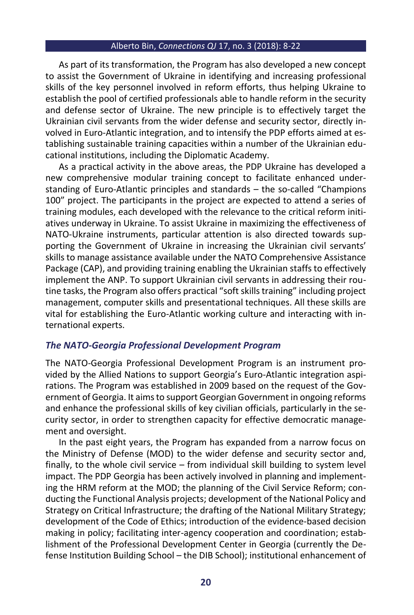As part of its transformation, the Program has also developed a new concept to assist the Government of Ukraine in identifying and increasing professional skills of the key personnel involved in reform efforts, thus helping Ukraine to establish the pool of certified professionals able to handle reform in the security and defense sector of Ukraine. The new principle is to effectively target the Ukrainian civil servants from the wider defense and security sector, directly involved in Euro-Atlantic integration, and to intensify the PDP efforts aimed at establishing sustainable training capacities within a number of the Ukrainian educational institutions, including the Diplomatic Academy.

As a practical activity in the above areas, the PDP Ukraine has developed a new comprehensive modular training concept to facilitate enhanced understanding of Euro-Atlantic principles and standards – the so-called "Champions 100" project. The participants in the project are expected to attend a series of training modules, each developed with the relevance to the critical reform initiatives underway in Ukraine. To assist Ukraine in maximizing the effectiveness of NATO-Ukraine instruments, particular attention is also directed towards supporting the Government of Ukraine in increasing the Ukrainian civil servants' skills to manage assistance available under the NATO Comprehensive Assistance Package (CAP), and providing training enabling the Ukrainian staffs to effectively implement the ANP. To support Ukrainian civil servants in addressing their routine tasks, the Program also offers practical "soft skills training" including project management, computer skills and presentational techniques. All these skills are vital for establishing the Euro-Atlantic working culture and interacting with international experts.

#### *The NATO-Georgia Professional Development Program*

The NATO-Georgia Professional Development Program is an instrument provided by the Allied Nations to support Georgia's Euro-Atlantic integration aspirations. The Program was established in 2009 based on the request of the Government of Georgia. It aims to support Georgian Government in ongoing reforms and enhance the professional skills of key civilian officials, particularly in the security sector, in order to strengthen capacity for effective democratic management and oversight.

In the past eight years, the Program has expanded from a narrow focus on the Ministry of Defense (MOD) to the wider defense and security sector and, finally, to the whole civil service – from individual skill building to system level impact. The PDP Georgia has been actively involved in planning and implementing the HRM reform at the MOD; the planning of the Civil Service Reform; conducting the Functional Analysis projects; development of the National Policy and Strategy on Critical Infrastructure; the drafting of the National Military Strategy; development of the Code of Ethics; introduction of the evidence-based decision making in policy; facilitating inter-agency cooperation and coordination; establishment of the Professional Development Center in Georgia (currently the Defense Institution Building School – the DIB School); institutional enhancement of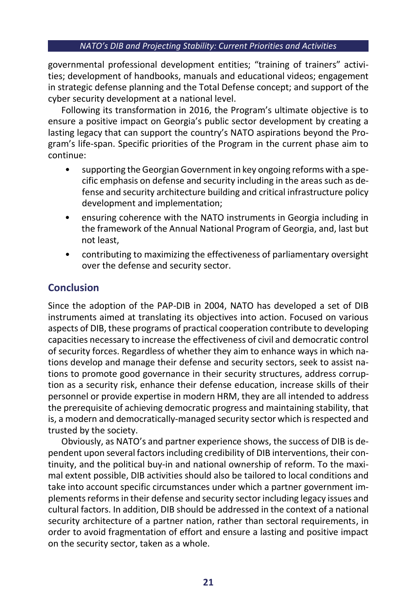governmental professional development entities; "training of trainers" activities; development of handbooks, manuals and educational videos; engagement in strategic defense planning and the Total Defense concept; and support of the cyber security development at a national level.

Following its transformation in 2016, the Program's ultimate objective is to ensure a positive impact on Georgia's public sector development by creating a lasting legacy that can support the country's NATO aspirations beyond the Program's life-span. Specific priorities of the Program in the current phase aim to continue:

- supporting the Georgian Government in key ongoing reforms with a specific emphasis on defense and security including in the areas such as defense and security architecture building and critical infrastructure policy development and implementation;
- ensuring coherence with the NATO instruments in Georgia including in the framework of the Annual National Program of Georgia, and, last but not least,
- contributing to maximizing the effectiveness of parliamentary oversight over the defense and security sector.

# **Conclusion**

Since the adoption of the PAP-DIB in 2004, NATO has developed a set of DIB instruments aimed at translating its objectives into action. Focused on various aspects of DIB, these programs of practical cooperation contribute to developing capacities necessary to increase the effectiveness of civil and democratic control of security forces. Regardless of whether they aim to enhance ways in which nations develop and manage their defense and security sectors, seek to assist nations to promote good governance in their security structures, address corruption as a security risk, enhance their defense education, increase skills of their personnel or provide expertise in modern HRM, they are all intended to address the prerequisite of achieving democratic progress and maintaining stability, that is, a modern and democratically-managed security sector which is respected and trusted by the society.

Obviously, as NATO's and partner experience shows, the success of DIB is dependent upon several factors including credibility of DIB interventions, their continuity, and the political buy-in and national ownership of reform. To the maximal extent possible, DIB activities should also be tailored to local conditions and take into account specific circumstances under which a partner government implements reforms in their defense and security sector including legacy issues and cultural factors. In addition, DIB should be addressed in the context of a national security architecture of a partner nation, rather than sectoral requirements, in order to avoid fragmentation of effort and ensure a lasting and positive impact on the security sector, taken as a whole.